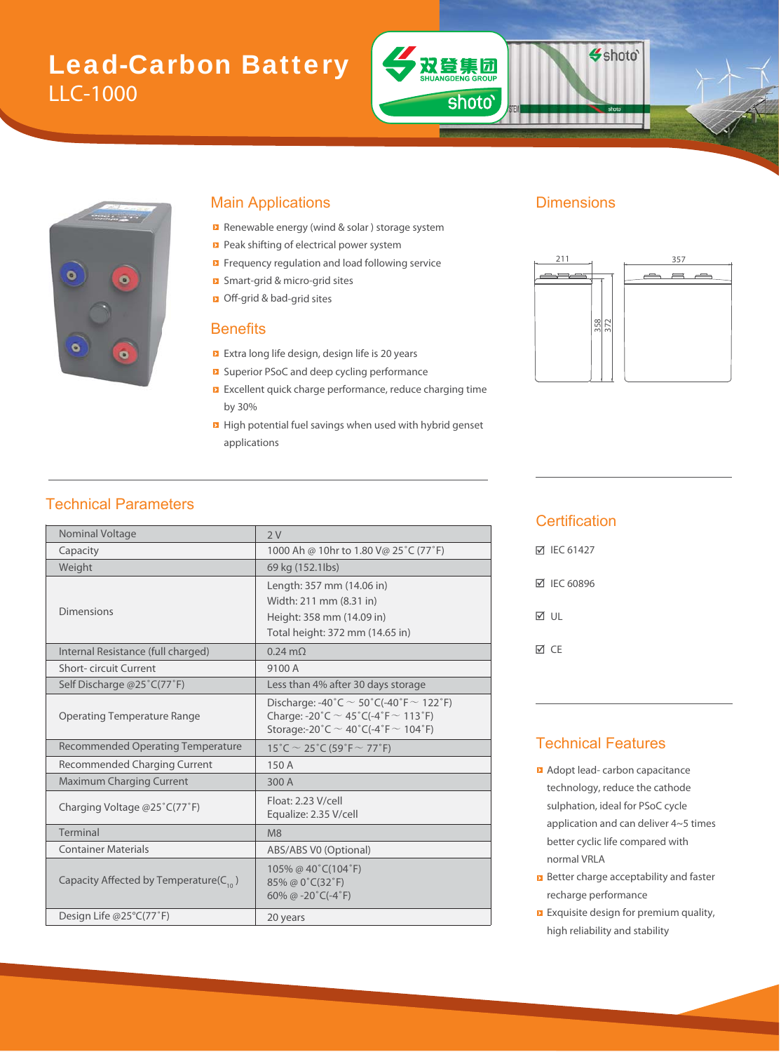# Lead-Carbon Battery LLC-1000



#### Main Applications **Dimensions**

- Renewable energy (wind & solar ) storage system
- Peak shifting of electrical power system
- Frequency regulation and load following service
- Smart-grid & micro-grid sites & m
- Off-grid & bad-grid sites bad

#### **Benefits**

- Extra long life design, design life is 20 years
- Superior PSoC and deep cycling performance PSoC
- Excellent quick charge performance, reduce charging time by 30%
- **High potential fuel savings when used with hybrid genset** applications

双登集团

**ANG** 

shoto'

Shoto'



### Technical Parameters

| Nominal Voltage                              | 2V                                                                                                                                               |  |  |  |
|----------------------------------------------|--------------------------------------------------------------------------------------------------------------------------------------------------|--|--|--|
| Capacity                                     | 1000 Ah @ 10hr to 1.80 V@ 25°C (77°F)                                                                                                            |  |  |  |
| Weight                                       | 69 kg (152.1lbs)                                                                                                                                 |  |  |  |
| Dimensions                                   | Length: 357 mm (14.06 in)<br>Width: 211 mm (8.31 in)<br>Height: 358 mm (14.09 in)<br>Total height: 372 mm (14.65 in)                             |  |  |  |
| Internal Resistance (full charged)           | $0.24 \text{ m}\Omega$                                                                                                                           |  |  |  |
| <b>Short-circuit Current</b>                 | 9100 A                                                                                                                                           |  |  |  |
| Self Discharge @25°C(77°F)                   | Less than 4% after 30 days storage                                                                                                               |  |  |  |
| <b>Operating Temperature Range</b>           | Discharge: -40°C $\sim$ 50°C(-40°F $\sim$ 122°F)<br>Charge: -20°C $\sim$ 45°C(-4°F $\sim$ 113°F)<br>Storage:-20°C $\sim$ 40°C(-4°F $\sim$ 104°F) |  |  |  |
| <b>Recommended Operating Temperature</b>     | $15^{\circ}$ C $\sim$ 25 $^{\circ}$ C (59 $^{\circ}$ F $\sim$ 77 $^{\circ}$ F)                                                                   |  |  |  |
| <b>Recommended Charging Current</b>          | 150A                                                                                                                                             |  |  |  |
| <b>Maximum Charging Current</b>              | 300 A                                                                                                                                            |  |  |  |
| Charging Voltage @25°C(77°F)                 | Float: 2.23 V/cell<br>Equalize: 2.35 V/cell                                                                                                      |  |  |  |
| Terminal                                     | M8                                                                                                                                               |  |  |  |
| <b>Container Materials</b>                   | ABS/ABS V0 (Optional)                                                                                                                            |  |  |  |
| Capacity Affected by Temperature( $C_{10}$ ) | 105% @ 40°C(104°F)<br>85% @ 0°C(32°F)<br>60% @ -20 $°C$ (-4 $°F$ )                                                                               |  |  |  |
| Design Life @25°C(77°F)                      | 20 years                                                                                                                                         |  |  |  |

#### **Certification**

| <b>⊠ IEC 61427</b> |
|--------------------|
| <b>⊠ IEC 60896</b> |
| ⊠ ∪L               |
| ⊠ CF               |

#### Technical Features

- **Adopt lead- carbon capacitance** technology, reduce the cathode sulphation, ideal for PSoC cycle application and can deliver 4~5 times better cyclic life compared with normal VRLA
- **B** Better charge acceptability and faster recharge performance
- **Exquisite design for premium quality,** high reliability and stability